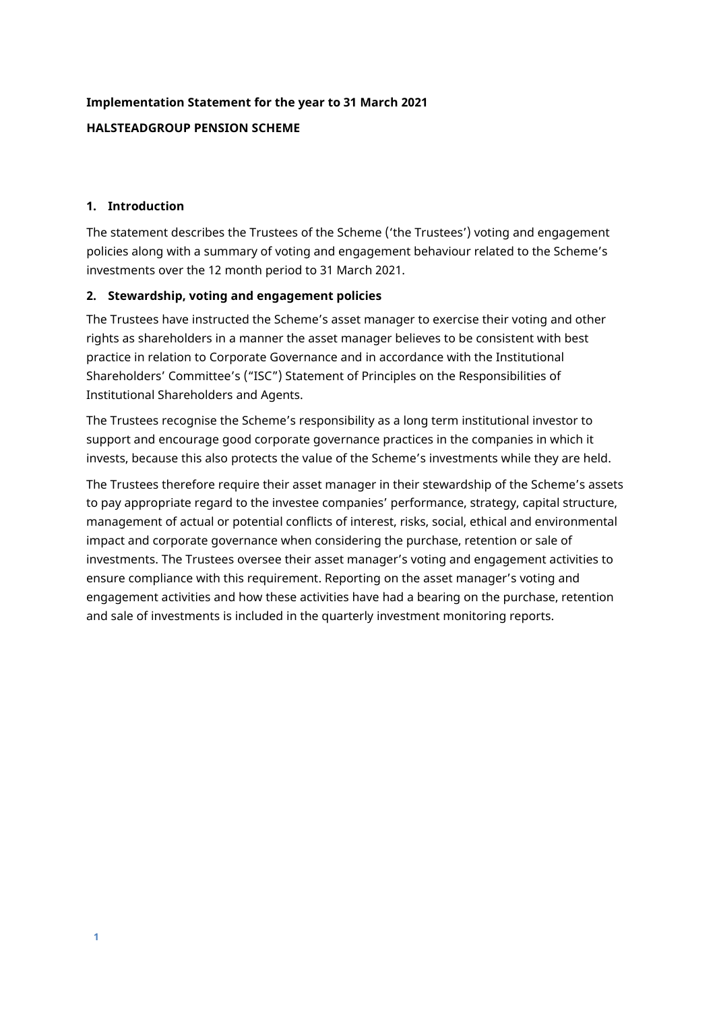# **Implementation Statement for the year to 31 March 2021**

## **HALSTEADGROUP PENSION SCHEME**

### **1. Introduction**

The statement describes the Trustees of the Scheme ('the Trustees') voting and engagement policies along with a summary of voting and engagement behaviour related to the Scheme's investments over the 12 month period to 31 March 2021.

## **2. Stewardship, voting and engagement policies**

The Trustees have instructed the Scheme's asset manager to exercise their voting and other rights as shareholders in a manner the asset manager believes to be consistent with best practice in relation to Corporate Governance and in accordance with the Institutional Shareholders' Committee's ("ISC") Statement of Principles on the Responsibilities of Institutional Shareholders and Agents.

The Trustees recognise the Scheme's responsibility as a long term institutional investor to support and encourage good corporate governance practices in the companies in which it invests, because this also protects the value of the Scheme's investments while they are held.

The Trustees therefore require their asset manager in their stewardship of the Scheme's assets to pay appropriate regard to the investee companies' performance, strategy, capital structure, management of actual or potential conflicts of interest, risks, social, ethical and environmental impact and corporate governance when considering the purchase, retention or sale of investments. The Trustees oversee their asset manager's voting and engagement activities to ensure compliance with this requirement. Reporting on the asset manager's voting and engagement activities and how these activities have had a bearing on the purchase, retention and sale of investments is included in the quarterly investment monitoring reports.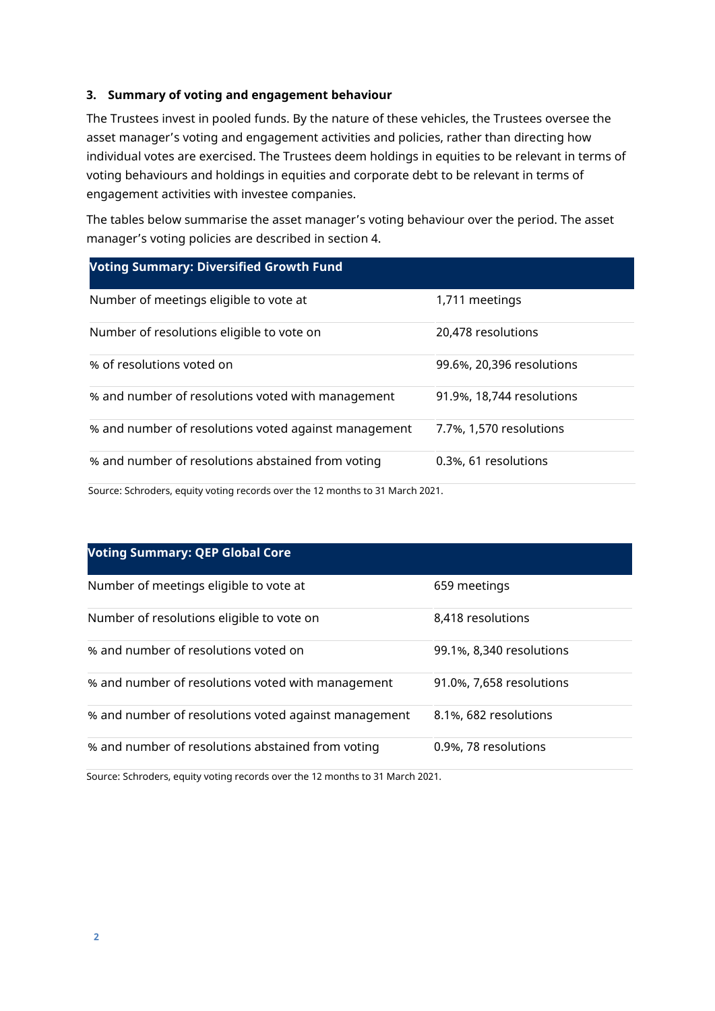#### **3. Summary of voting and engagement behaviour**

The Trustees invest in pooled funds. By the nature of these vehicles, the Trustees oversee the asset manager's voting and engagement activities and policies, rather than directing how individual votes are exercised. The Trustees deem holdings in equities to be relevant in terms of voting behaviours and holdings in equities and corporate debt to be relevant in terms of engagement activities with investee companies.

The tables below summarise the asset manager's voting behaviour over the period. The asset manager's voting policies are described in section 4.

| <b>Voting Summary: Diversified Growth Fund</b>       |                           |
|------------------------------------------------------|---------------------------|
| Number of meetings eligible to vote at               | 1,711 meetings            |
| Number of resolutions eligible to vote on            | 20,478 resolutions        |
| % of resolutions voted on                            | 99.6%, 20,396 resolutions |
| % and number of resolutions voted with management    | 91.9%, 18,744 resolutions |
| % and number of resolutions voted against management | 7.7%, 1,570 resolutions   |
| % and number of resolutions abstained from voting    | 0.3%, 61 resolutions      |

Source: Schroders, equity voting records over the 12 months to 31 March 2021.

## **Voting Summary: QEP Global Core**

| Number of meetings eligible to vote at               | 659 meetings             |
|------------------------------------------------------|--------------------------|
| Number of resolutions eligible to vote on            | 8,418 resolutions        |
| % and number of resolutions voted on                 | 99.1%, 8,340 resolutions |
| % and number of resolutions voted with management    | 91.0%, 7,658 resolutions |
| % and number of resolutions voted against management | 8.1%, 682 resolutions    |
| % and number of resolutions abstained from voting    | 0.9%, 78 resolutions     |

Source: Schroders, equity voting records over the 12 months to 31 March 2021.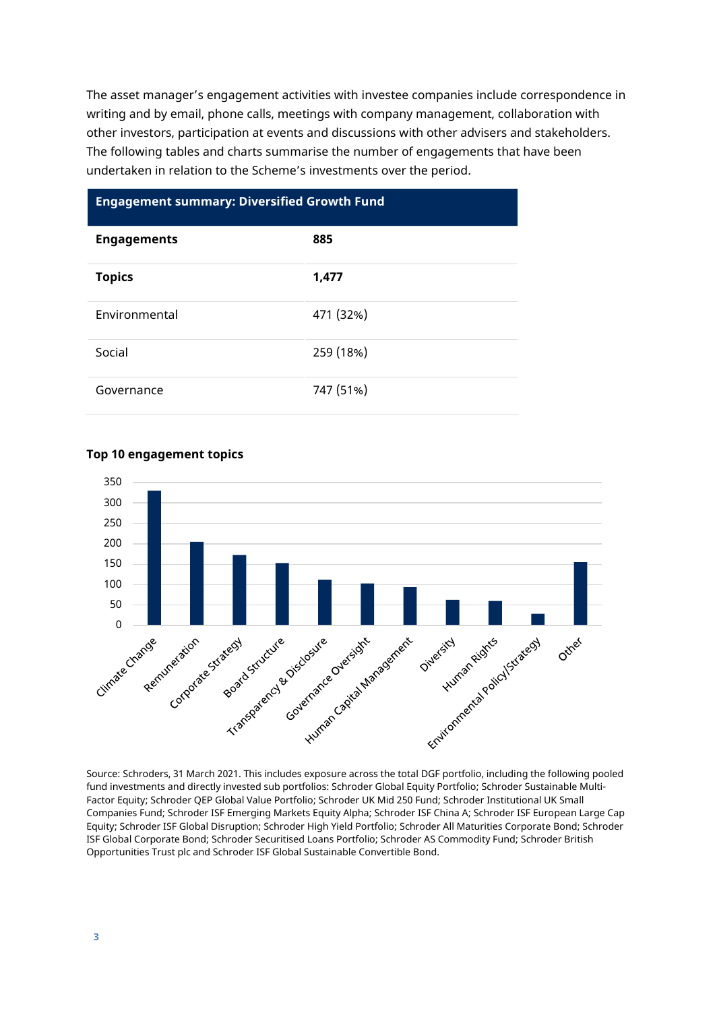The asset manager's engagement activities with investee companies include correspondence in writing and by email, phone calls, meetings with company management, collaboration with other investors, participation at events and discussions with other advisers and stakeholders. The following tables and charts summarise the number of engagements that have been undertaken in relation to the Scheme's investments over the period.

#### **Engagement summary: Diversified Growth Fund**

| <b>Engagements</b> | 885       |
|--------------------|-----------|
| <b>Topics</b>      | 1,477     |
| Environmental      | 471 (32%) |
| Social             | 259 (18%) |
| Governance         | 747 (51%) |

## **Top 10 engagement topics**



Source: Schroders, 31 March 2021. This includes exposure across the total DGF portfolio, including the following pooled fund investments and directly invested sub portfolios: Schroder Global Equity Portfolio; Schroder Sustainable Multi-Factor Equity; Schroder QEP Global Value Portfolio; Schroder UK Mid 250 Fund; Schroder Institutional UK Small Companies Fund; Schroder ISF Emerging Markets Equity Alpha; Schroder ISF China A; Schroder ISF European Large Cap Equity; Schroder ISF Global Disruption; Schroder High Yield Portfolio; Schroder All Maturities Corporate Bond; Schroder ISF Global Corporate Bond; Schroder Securitised Loans Portfolio; Schroder AS Commodity Fund; Schroder British Opportunities Trust plc and Schroder ISF Global Sustainable Convertible Bond.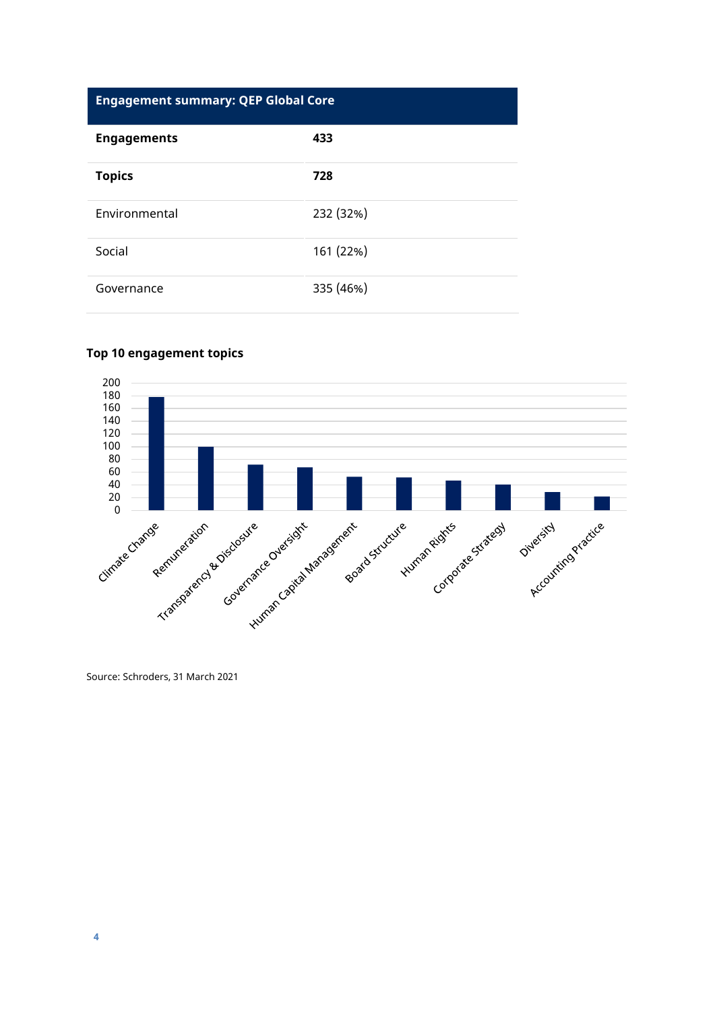# **Engagement summary: QEP Global Core**

| <b>Engagements</b> | 433       |
|--------------------|-----------|
| <b>Topics</b>      | 728       |
| Environmental      | 232 (32%) |
| Social             | 161 (22%) |
| Governance         | 335 (46%) |

#### **Top 10 engagement topics**



Source: Schroders, 31 March 2021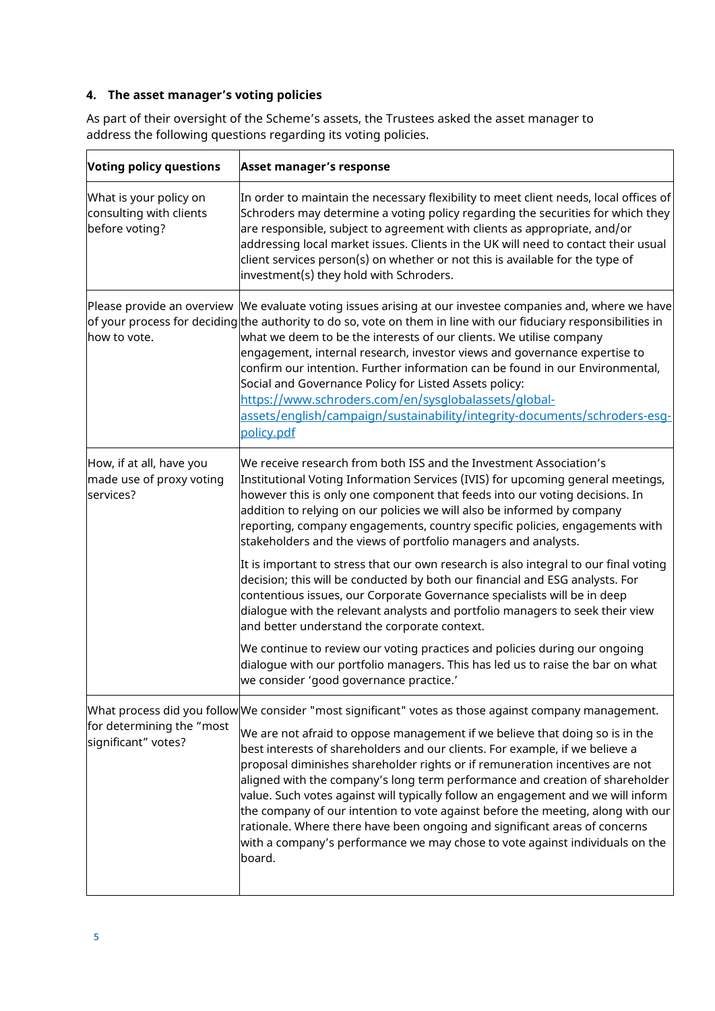## **4. The asset manager's voting policies**

| <b>Voting policy questions</b>                                      | <b>Asset manager's response</b>                                                                                                                                                                                                                                                                                                                                                                                                                                                                                                                                                                                                                                                                                                                                                      |
|---------------------------------------------------------------------|--------------------------------------------------------------------------------------------------------------------------------------------------------------------------------------------------------------------------------------------------------------------------------------------------------------------------------------------------------------------------------------------------------------------------------------------------------------------------------------------------------------------------------------------------------------------------------------------------------------------------------------------------------------------------------------------------------------------------------------------------------------------------------------|
| What is your policy on<br>consulting with clients<br>before voting? | In order to maintain the necessary flexibility to meet client needs, local offices of<br>Schroders may determine a voting policy regarding the securities for which they<br>are responsible, subject to agreement with clients as appropriate, and/or<br>addressing local market issues. Clients in the UK will need to contact their usual<br>client services person(s) on whether or not this is available for the type of<br>investment(s) they hold with Schroders.                                                                                                                                                                                                                                                                                                              |
| how to vote.                                                        | Please provide an overview  We evaluate voting issues arising at our investee companies and, where we have<br>of your process for deciding the authority to do so, vote on them in line with our fiduciary responsibilities in<br>what we deem to be the interests of our clients. We utilise company<br>engagement, internal research, investor views and governance expertise to<br>confirm our intention. Further information can be found in our Environmental,<br>Social and Governance Policy for Listed Assets policy:<br>https://www.schroders.com/en/sysglobalassets/global-<br>assets/english/campaign/sustainability/integrity-documents/schroders-esg-<br>policy.pdf                                                                                                     |
| How, if at all, have you<br>made use of proxy voting<br>services?   | We receive research from both ISS and the Investment Association's<br>Institutional Voting Information Services (IVIS) for upcoming general meetings,<br>however this is only one component that feeds into our voting decisions. In<br>addition to relying on our policies we will also be informed by company<br>reporting, company engagements, country specific policies, engagements with<br>stakeholders and the views of portfolio managers and analysts.                                                                                                                                                                                                                                                                                                                     |
|                                                                     | It is important to stress that our own research is also integral to our final voting<br>decision; this will be conducted by both our financial and ESG analysts. For<br>contentious issues, our Corporate Governance specialists will be in deep<br>dialogue with the relevant analysts and portfolio managers to seek their view<br>and better understand the corporate context.                                                                                                                                                                                                                                                                                                                                                                                                    |
|                                                                     | $ \!$ We continue to review our voting practices and policies during our ongoing<br>dialogue with our portfolio managers. This has led us to raise the bar on what<br>we consider 'good governance practice.'                                                                                                                                                                                                                                                                                                                                                                                                                                                                                                                                                                        |
| for determining the "most<br>significant" votes?                    | What process did you follow We consider "most significant" votes as those against company management.<br>We are not afraid to oppose management if we believe that doing so is in the<br>best interests of shareholders and our clients. For example, if we believe a<br>proposal diminishes shareholder rights or if remuneration incentives are not<br>aligned with the company's long term performance and creation of shareholder<br>value. Such votes against will typically follow an engagement and we will inform<br>the company of our intention to vote against before the meeting, along with our<br>rationale. Where there have been ongoing and significant areas of concerns<br>with a company's performance we may chose to vote against individuals on the<br>board. |

As part of their oversight of the Scheme's assets, the Trustees asked the asset manager to address the following questions regarding its voting policies.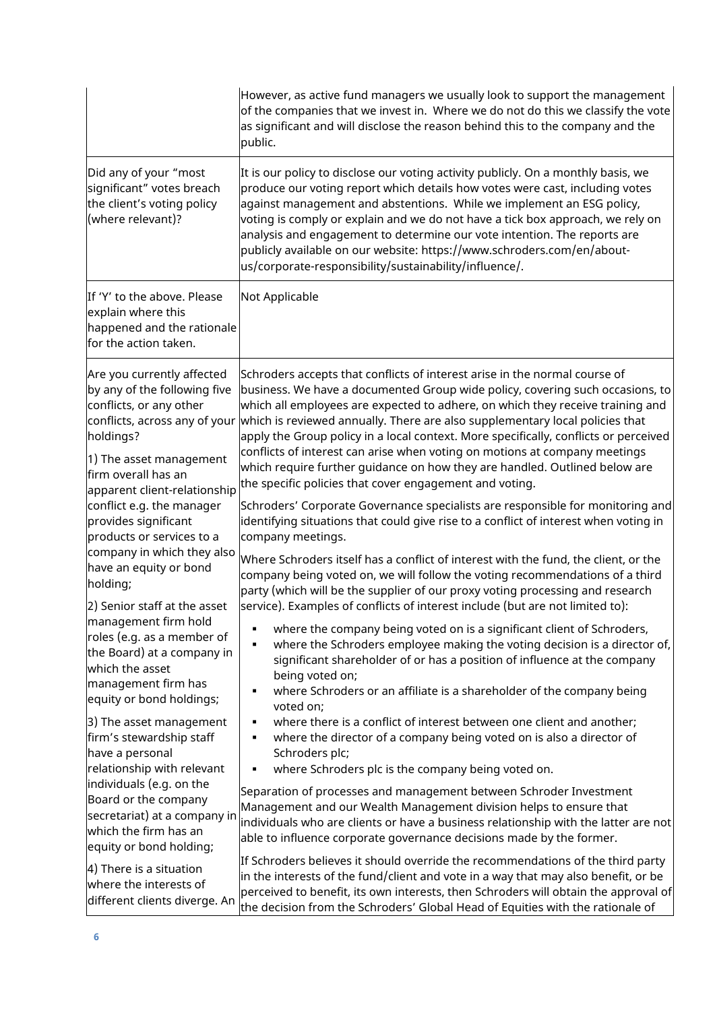|                                                                                                                                                                                                                                                                                                                                                                                                                                                                                                                                                                          | However, as active fund managers we usually look to support the management<br>of the companies that we invest in. Where we do not do this we classify the vote<br>as significant and will disclose the reason behind this to the company and the<br>public.                                                                                                                                                                                                                                                                                                                                                                                                                |
|--------------------------------------------------------------------------------------------------------------------------------------------------------------------------------------------------------------------------------------------------------------------------------------------------------------------------------------------------------------------------------------------------------------------------------------------------------------------------------------------------------------------------------------------------------------------------|----------------------------------------------------------------------------------------------------------------------------------------------------------------------------------------------------------------------------------------------------------------------------------------------------------------------------------------------------------------------------------------------------------------------------------------------------------------------------------------------------------------------------------------------------------------------------------------------------------------------------------------------------------------------------|
| Did any of your "most<br>significant" votes breach<br>the client's voting policy<br>(where relevant)?                                                                                                                                                                                                                                                                                                                                                                                                                                                                    | It is our policy to disclose our voting activity publicly. On a monthly basis, we<br>produce our voting report which details how votes were cast, including votes<br>against management and abstentions. While we implement an ESG policy,<br>voting is comply or explain and we do not have a tick box approach, we rely on<br>analysis and engagement to determine our vote intention. The reports are<br>publicly available on our website: https://www.schroders.com/en/about-<br>us/corporate-responsibility/sustainability/influence/.                                                                                                                               |
| If 'Y' to the above. Please<br>explain where this<br>happened and the rationale<br>for the action taken.                                                                                                                                                                                                                                                                                                                                                                                                                                                                 | Not Applicable                                                                                                                                                                                                                                                                                                                                                                                                                                                                                                                                                                                                                                                             |
| Are you currently affected<br>by any of the following five<br>conflicts, or any other<br>holdings?<br>1) The asset management<br>firm overall has an                                                                                                                                                                                                                                                                                                                                                                                                                     | Schroders accepts that conflicts of interest arise in the normal course of<br>business. We have a documented Group wide policy, covering such occasions, to<br>which all employees are expected to adhere, on which they receive training and<br>conflicts, across any of your which is reviewed annually. There are also supplementary local policies that<br>apply the Group policy in a local context. More specifically, conflicts or perceived<br>conflicts of interest can arise when voting on motions at company meetings<br>which require further guidance on how they are handled. Outlined below are<br>the specific policies that cover engagement and voting. |
| apparent client-relationship<br>conflict e.g. the manager<br>provides significant<br>products or services to a<br>company in which they also<br>have an equity or bond<br>holding;<br>2) Senior staff at the asset<br>management firm hold<br>roles (e.g. as a member of<br>the Board) at a company in<br>which the asset<br>management firm has<br>equity or bond holdings;<br>3) The asset management<br>firm's stewardship staff<br>have a personal<br>relationship with relevant<br>individuals (e.g. on the<br>Board or the company<br>secretariat) at a company in | Schroders' Corporate Governance specialists are responsible for monitoring and<br>identifying situations that could give rise to a conflict of interest when voting in<br>company meetings.<br>Where Schroders itself has a conflict of interest with the fund, the client, or the<br>company being voted on, we will follow the voting recommendations of a third<br>party (which will be the supplier of our proxy voting processing and research<br>service). Examples of conflicts of interest include (but are not limited to):                                                                                                                                       |
|                                                                                                                                                                                                                                                                                                                                                                                                                                                                                                                                                                          | where the company being voted on is a significant client of Schroders,<br>٠<br>where the Schroders employee making the voting decision is a director of,<br>٠<br>significant shareholder of or has a position of influence at the company<br>being voted on;<br>where Schroders or an affiliate is a shareholder of the company being<br>٠<br>voted on;                                                                                                                                                                                                                                                                                                                    |
|                                                                                                                                                                                                                                                                                                                                                                                                                                                                                                                                                                          | where there is a conflict of interest between one client and another;<br>٠<br>where the director of a company being voted on is also a director of<br>٠<br>Schroders plc;<br>where Schroders plc is the company being voted on.<br>٠<br>Separation of processes and management between Schroder Investment<br>Management and our Wealth Management division helps to ensure that                                                                                                                                                                                                                                                                                           |
| which the firm has an<br>equity or bond holding;<br>$ 4)$ There is a situation<br>where the interests of<br>different clients diverge. An                                                                                                                                                                                                                                                                                                                                                                                                                                | individuals who are clients or have a business relationship with the latter are not<br>able to influence corporate governance decisions made by the former.<br>If Schroders believes it should override the recommendations of the third party<br>in the interests of the fund/client and vote in a way that may also benefit, or be<br>perceived to benefit, its own interests, then Schroders will obtain the approval of<br>the decision from the Schroders' Global Head of Equities with the rationale of                                                                                                                                                              |